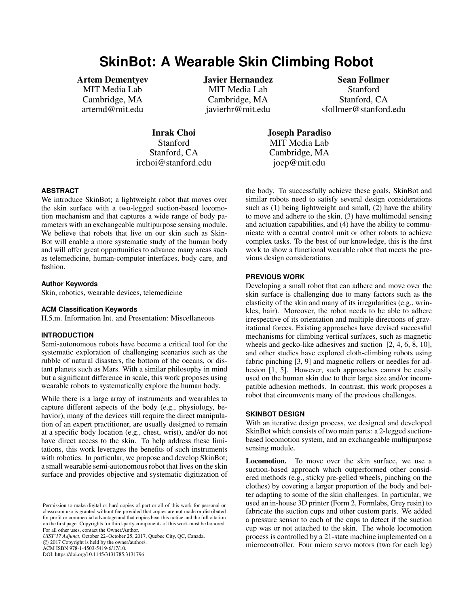# **SkinBot: A Wearable Skin Climbing Robot**

Artem Dementyev

MIT Media Lab Cambridge, MA artemd@mit.edu Javier Hernandez MIT Media Lab Cambridge, MA javierhr@mit.edu

Sean Follmer **Stanford** Stanford, CA sfollmer@stanford.edu

Inrak Choi Stanford Stanford, CA irchoi@stanford.edu Joseph Paradiso MIT Media Lab Cambridge, MA joep@mit.edu

## **ABSTRACT**

We introduce SkinBot; a lightweight robot that moves over the skin surface with a two-legged suction-based locomotion mechanism and that captures a wide range of body parameters with an exchangeable multipurpose sensing module. We believe that robots that live on our skin such as Skin-Bot will enable a more systematic study of the human body and will offer great opportunities to advance many areas such as telemedicine, human-computer interfaces, body care, and fashion.

#### **Author Keywords**

Skin, robotics, wearable devices, telemedicine

#### **ACM Classification Keywords**

H.5.m. Information Int. and Presentation: Miscellaneous

#### **INTRODUCTION**

Semi-autonomous robots have become a critical tool for the systematic exploration of challenging scenarios such as the rubble of natural disasters, the bottom of the oceans, or distant planets such as Mars. With a similar philosophy in mind but a significant difference in scale, this work proposes using wearable robots to systematically explore the human body.

While there is a large array of instruments and wearables to capture different aspects of the body (e.g., physiology, behavior), many of the devices still require the direct manipulation of an expert practitioner, are usually designed to remain at a specific body location (e.g., chest, wrist), and/or do not have direct access to the skin. To help address these limitations, this work leverages the benefits of such instruments with robotics. In particular, we propose and develop SkinBot; a small wearable semi-autonomous robot that lives on the skin surface and provides objective and systematic digitization of

*UIST'17 Adjunct*, October 22–October 25, 2017, Quebec City, QC, Canada.

C 2017 Copyright is held by the owner/authors. ACM ISBN 978-1-4503-5419-6/17/10.

DOI: https://doi.org/10.1145/3131785.3131796

the body. To successfully achieve these goals, SkinBot and similar robots need to satisfy several design considerations such as (1) being lightweight and small, (2) have the ability to move and adhere to the skin, (3) have multimodal sensing and actuation capabilities, and (4) have the ability to communicate with a central control unit or other robots to achieve complex tasks. To the best of our knowledge, this is the first work to show a functional wearable robot that meets the previous design considerations.

#### **PREVIOUS WORK**

Developing a small robot that can adhere and move over the skin surface is challenging due to many factors such as the elasticity of the skin and many of its irregularities (e.g., wrinkles, hair). Moreover, the robot needs to be able to adhere irrespective of its orientation and multiple directions of gravitational forces. Existing approaches have devised successful mechanisms for climbing vertical surfaces, such as magnetic wheels and gecko-like adhesives and suction [\[2,](#page-1-0) [4,](#page-1-1) [6,](#page-1-2) [8,](#page-1-3) [10\]](#page-1-4), and other studies have explored cloth-climbing robots using fabric pinching [\[3,](#page-1-5) [9\]](#page-1-6) and magnetic rollers or needles for adhesion [\[1,](#page-1-7) [5\]](#page-1-8). However, such approaches cannot be easily used on the human skin due to their large size and/or incompatible adhesion methods. In contrast, this work proposes a robot that circumvents many of the previous challenges.

### **SKINBOT DESIGN**

With an iterative design process, we designed and developed SkinBot which consists of two main parts: a 2-legged suctionbased locomotion system, and an exchangeable multipurpose sensing module.

Locomotion. To move over the skin surface, we use a suction-based approach which outperformed other considered methods (e.g., sticky pre-gelled wheels, pinching on the clothes) by covering a larger proportion of the body and better adapting to some of the skin challenges. In particular, we used an in-house 3D printer (Form 2, Formlabs, Grey resin) to fabricate the suction cups and other custom parts. We added a pressure sensor to each of the cups to detect if the suction cup was or not attached to the skin. The whole locomotion process is controlled by a 21-state machine implemented on a microcontroller. Four micro servo motors (two for each leg)

Permission to make digital or hard copies of part or all of this work for personal or classroom use is granted without fee provided that copies are not made or distributed for profit or commercial advantage and that copies bear this notice and the full citation on the first page. Copyrights for third-party components of this work must be honored. For all other uses, contact the Owner/Author.